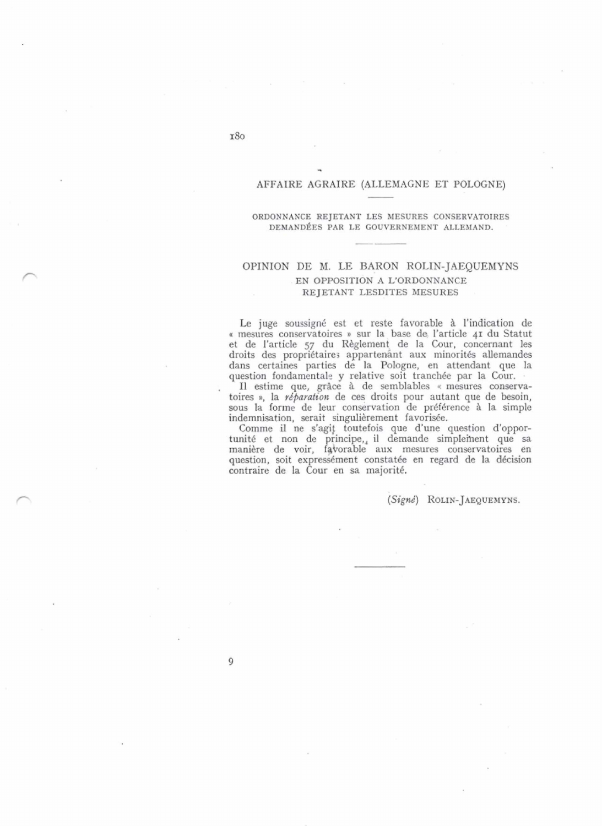#### AFFAIRE AGRAIRE (ALLEMAGNE ET POLOGNE)

#### ORDONNANCE REJETANT LES MESURES CONSERVATOIRES DEMANDÉES PAR LE GOUVERNEMENT ALLEMAND.

## OPINION DE M. LE BARON ROLIN-JAEQUEMYNS EN OPPOSITION A L'ORDONNANCE REJETANT LESDITES MESURES

Le juge soussigné est et reste favorable à l'indication de « mesures conservatoires » sur la base de l'article 41 du Statut et de l'article 57 du Règlement de la Cour, concernant les droits des propriétaires appartenant aux minorités allemandes dans certaines parties de la Pologne, en attendant que la question fondamentale y relative soit tranchée par la Cour.<br>Il estime que, grâce à de semblables « mesures conserva-

toires », la *réparation* de ces droits pour autant que de besoin, sous la forme de leur conservation de préférence à la simple indemnisation, serait singulièrement favorisée.

Comme il ne s'agit toutefois que d'une question d'opportunité et non de principe, il demande simplement que sa<br>manière de voir, favorable aux mesures conservatoires en question, soit expressément constatée en regard de la décision contraire de la Cour en sa majorité.

(Signé) ROLIN-JAEQUEMYNS.

9